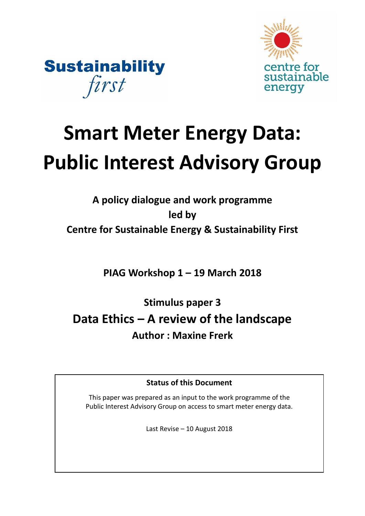



# **Smart Meter Energy Data: Public Interest Advisory Group**

# **A policy dialogue and work programme led by Centre for Sustainable Energy & Sustainability First**

**PIAG Workshop 1 – 19 March 2018**

**Stimulus paper 3 Data Ethics – A review of the landscape Author : Maxine Frerk**

**Status of this Document**

This paper was prepared as an input to the work programme of the Public Interest Advisory Group on access to smart meter energy data.

Last Revise – 10 August 2018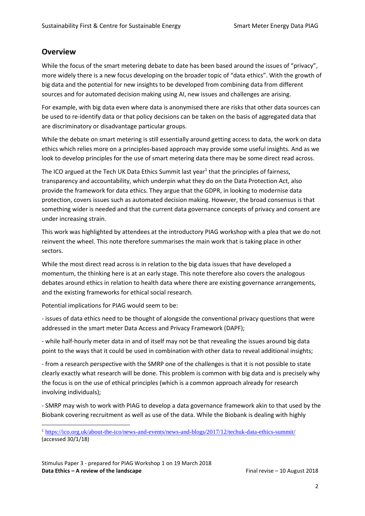# **Overview**

 $\overline{a}$ 

While the focus of the smart metering debate to date has been based around the issues of "privacy", more widely there is a new focus developing on the broader topic of "data ethics". With the growth of big data and the potential for new insights to be developed from combining data from different sources and for automated decision making using AI, new issues and challenges are arising.

For example, with big data even where data is anonymised there are risks that other data sources can be used to re-identify data or that policy decisions can be taken on the basis of aggregated data that are discriminatory or disadvantage particular groups.

While the debate on smart metering is still essentially around getting access to data, the work on data ethics which relies more on a principles-based approach may provide some useful insights. And as we look to develop principles for the use of smart metering data there may be some direct read across.

The ICO argued at the Tech UK Data Ethics Summit last year<sup>1</sup> that the principles of fairness, transparency and accountability, which underpin what they do on the Data Protection Act, also provide the framework for data ethics. They argue that the GDPR, in looking to modernise data protection, covers issues such as automated decision making. However, the broad consensus is that something wider is needed and that the current data governance concepts of privacy and consent are under increasing strain.

This work was highlighted by attendees at the introductory PIAG workshop with a plea that we do not reinvent the wheel. This note therefore summarises the main work that is taking place in other sectors.

While the most direct read across is in relation to the big data issues that have developed a momentum, the thinking here is at an early stage. This note therefore also covers the analogous debates around ethics in relation to health data where there are existing governance arrangements, and the existing frameworks for ethical social research.

Potential implications for PIAG would seem to be:

- issues of data ethics need to be thought of alongside the conventional privacy questions that were addressed in the smart meter Data Access and Privacy Framework (DAPF);

- while half-hourly meter data in and of itself may not be that revealing the issues around big data point to the ways that it could be used in combination with other data to reveal additional insights;

- from a research perspective with the SMRP one of the challenges is that it is not possible to state clearly exactly what research will be done. This problem is common with big data and is precisely why the focus is on the use of ethical principles (which is a common approach already for research involving individuals);

- SMRP may wish to work with PIAG to develop a data governance framework akin to that used by the Biobank covering recruitment as well as use of the data. While the Biobank is dealing with highly

<sup>1</sup> <https://ico.org.uk/about-the-ico/news-and-events/news-and-blogs/2017/12/techuk-data-ethics-summit/> (accessed 30/1/18)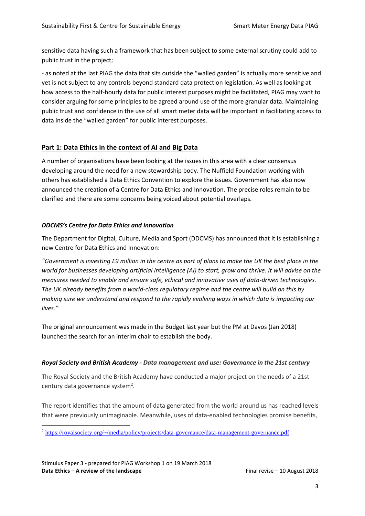sensitive data having such a framework that has been subject to some external scrutiny could add to public trust in the project;

- as noted at the last PIAG the data that sits outside the "walled garden" is actually more sensitive and yet is not subject to any controls beyond standard data protection legislation. As well as looking at how access to the half-hourly data for public interest purposes might be facilitated, PIAG may want to consider arguing for some principles to be agreed around use of the more granular data. Maintaining public trust and confidence in the use of all smart meter data will be important in facilitating access to data inside the "walled garden" for public interest purposes.

# **Part 1: Data Ethics in the context of AI and Big Data**

A number of organisations have been looking at the issues in this area with a clear consensus developing around the need for a new stewardship body. The Nuffield Foundation working with others has established a Data Ethics Convention to explore the issues. Government has also now announced the creation of a Centre for Data Ethics and Innovation. The precise roles remain to be clarified and there are some concerns being voiced about potential overlaps.

# *DDCMS's Centre for Data Ethics and Innovation*

The Department for Digital, Culture, Media and Sport (DDCMS) has announced that it is establishing a new Centre for Data Ethics and Innovation:

*"Government is investing £9 million in the centre as part of plans to make the UK the best place in the world for businesses developing artificial intelligence (AI) to start, grow and thrive. It will advise on the measures needed to enable and ensure safe, ethical and innovative uses of data-driven technologies. The UK already benefits from a world-class regulatory regime and the centre will build on this by making sure we understand and respond to the rapidly evolving ways in which data is impacting our lives."*

The original announcement was made in the Budget last year but the PM at Davos (Jan 2018) launched the search for an interim chair to establish the body.

#### *Royal Society and British Academy - Data management and use: Governance in the 21st century*

The Royal Society and the British Academy have conducted a major project on the needs of a 21st century data governance system<sup>2</sup>.

The report identifies that the amount of data generated from the world around us has reached levels that were previously unimaginable. Meanwhile, uses of data-enabled technologies promise benefits,

<sup>2</sup> <https://royalsociety.org/~/media/policy/projects/data-governance/data-management-governance.pdf>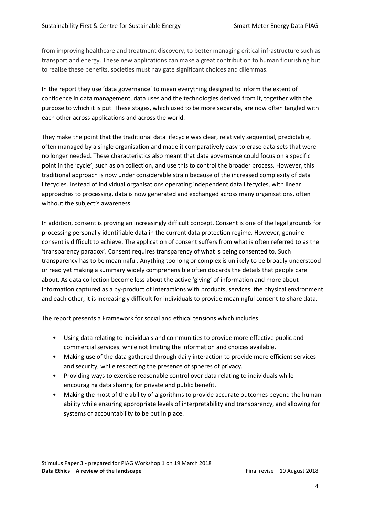from improving healthcare and treatment discovery, to better managing critical infrastructure such as transport and energy. These new applications can make a great contribution to human flourishing but to realise these benefits, societies must navigate significant choices and dilemmas.

In the report they use 'data governance' to mean everything designed to inform the extent of confidence in data management, data uses and the technologies derived from it, together with the purpose to which it is put. These stages, which used to be more separate, are now often tangled with each other across applications and across the world.

They make the point that the traditional data lifecycle was clear, relatively sequential, predictable, often managed by a single organisation and made it comparatively easy to erase data sets that were no longer needed. These characteristics also meant that data governance could focus on a specific point in the 'cycle', such as on collection, and use this to control the broader process. However, this traditional approach is now under considerable strain because of the increased complexity of data lifecycles. Instead of individual organisations operating independent data lifecycles, with linear approaches to processing, data is now generated and exchanged across many organisations, often without the subject's awareness.

In addition, consent is proving an increasingly difficult concept. Consent is one of the legal grounds for processing personally identifiable data in the current data protection regime. However, genuine consent is difficult to achieve. The application of consent suffers from what is often referred to as the 'transparency paradox'. Consent requires transparency of what is being consented to. Such transparency has to be meaningful. Anything too long or complex is unlikely to be broadly understood or read yet making a summary widely comprehensible often discards the details that people care about. As data collection become less about the active 'giving' of information and more about information captured as a by-product of interactions with products, services, the physical environment and each other, it is increasingly difficult for individuals to provide meaningful consent to share data.

The report presents a Framework for social and ethical tensions which includes:

- Using data relating to individuals and communities to provide more effective public and commercial services, while not limiting the information and choices available.
- Making use of the data gathered through daily interaction to provide more efficient services and security, while respecting the presence of spheres of privacy.
- Providing ways to exercise reasonable control over data relating to individuals while encouraging data sharing for private and public benefit.
- Making the most of the ability of algorithms to provide accurate outcomes beyond the human ability while ensuring appropriate levels of interpretability and transparency, and allowing for systems of accountability to be put in place.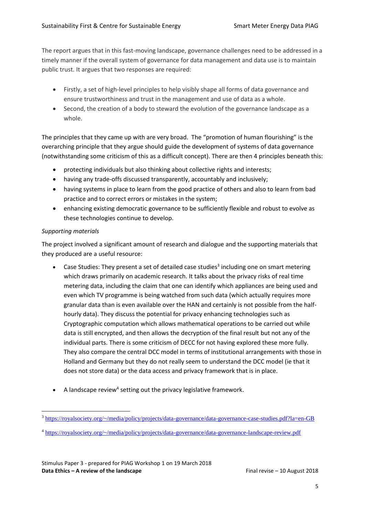The report argues that in this fast-moving landscape, governance challenges need to be addressed in a timely manner if the overall system of governance for data management and data use is to maintain public trust. It argues that two responses are required:

- Firstly, a set of high-level principles to help visibly shape all forms of data governance and ensure trustworthiness and trust in the management and use of data as a whole.
- Second, the creation of a body to steward the evolution of the governance landscape as a whole.

The principles that they came up with are very broad. The "promotion of human flourishing" is the overarching principle that they argue should guide the development of systems of data governance (notwithstanding some criticism of this as a difficult concept). There are then 4 principles beneath this:

- protecting individuals but also thinking about collective rights and interests;
- having any trade-offs discussed transparently, accountably and inclusively;
- having systems in place to learn from the good practice of others and also to learn from bad practice and to correct errors or mistakes in the system;
- enhancing existing democratic governance to be sufficiently flexible and robust to evolve as these technologies continue to develop.

# *Supporting materials*

The project involved a significant amount of research and dialogue and the supporting materials that they produced are a useful resource:

- Case Studies: They present a set of detailed case studies<sup>3</sup> including one on smart metering which draws primarily on academic research. It talks about the privacy risks of real time metering data, including the claim that one can identify which appliances are being used and even which TV programme is being watched from such data (which actually requires more granular data than is even available over the HAN and certainly is not possible from the halfhourly data). They discuss the potential for privacy enhancing technologies such as Cryptographic computation which allows mathematical operations to be carried out while data is still encrypted, and then allows the decryption of the final result but not any of the individual parts. There is some criticism of DECC for not having explored these more fully. They also compare the central DCC model in terms of institutional arrangements with those in Holland and Germany but they do not really seem to understand the DCC model (ie that it does not store data) or the data access and privacy framework that is in place.
- $\bullet$  A landscape review<sup>4</sup> setting out the privacy legislative framework.

 $\overline{a}$ <sup>3</sup> <https://royalsociety.org/~/media/policy/projects/data-governance/data-governance-case-studies.pdf?la=en-GB>

<sup>4</sup> <https://royalsociety.org/~/media/policy/projects/data-governance/data-governance-landscape-review.pdf>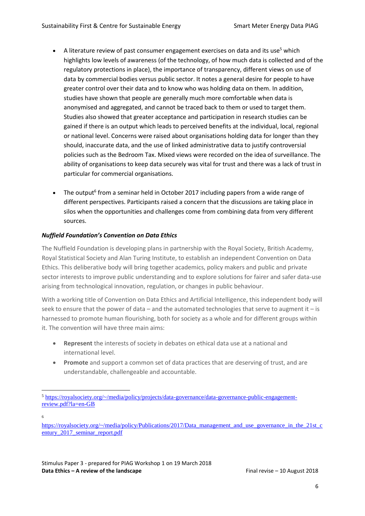- A literature review of past consumer engagement exercises on data and its use<sup>5</sup> which highlights low levels of awareness (of the technology, of how much data is collected and of the regulatory protections in place), the importance of transparency, different views on use of data by commercial bodies versus public sector. It notes a general desire for people to have greater control over their data and to know who was holding data on them. In addition, studies have shown that people are generally much more comfortable when data is anonymised and aggregated, and cannot be traced back to them or used to target them. Studies also showed that greater acceptance and participation in research studies can be gained if there is an output which leads to perceived benefits at the individual, local, regional or national level. Concerns were raised about organisations holding data for longer than they should, inaccurate data, and the use of linked administrative data to justify controversial policies such as the Bedroom Tax. Mixed views were recorded on the idea of surveillance. The ability of organisations to keep data securely was vital for trust and there was a lack of trust in particular for commercial organisations.
- The output<sup>6</sup> from a seminar held in October 2017 including papers from a wide range of different perspectives. Participants raised a concern that the discussions are taking place in silos when the opportunities and challenges come from combining data from very different sources.

# *Nuffield Foundation's Convention on Data Ethics*

The Nuffield Foundation is developing plans in partnership with the Royal Society, British Academy, Royal Statistical Society and Alan Turing Institute, to establish an independent Convention on Data Ethics. This deliberative body will bring together academics, policy makers and public and private sector interests to improve public understanding and to explore solutions for fairer and safer data-use arising from technological innovation, regulation, or changes in public behaviour.

With a working title of Convention on Data Ethics and Artificial Intelligence, this independent body will seek to ensure that the power of data – and the automated technologies that serve to augment it – is harnessed to promote human flourishing, both for society as a whole and for different groups within it. The convention will have three main aims:

- **Represent** the interests of society in debates on ethical data use at a national and international level.
- **Promote** and support a common set of data practices that are deserving of trust, and are understandable, challengeable and accountable.

6

<sup>5</sup> [https://royalsociety.org/~/media/policy/projects/data-governance/data-governance-public-engagement](https://royalsociety.org/~/media/policy/projects/data-governance/data-governance-public-engagement-review.pdf?la=en-GB)[review.pdf?la=en-GB](https://royalsociety.org/~/media/policy/projects/data-governance/data-governance-public-engagement-review.pdf?la=en-GB)

[https://royalsociety.org/~/media/policy/Publications/2017/Data\\_management\\_and\\_use\\_governance\\_in\\_the\\_21st\\_c](https://royalsociety.org/~/media/policy/Publications/2017/Data_management_and_use_governance_in_the_21st_century_2017_seminar_report.pdf) [entury\\_2017\\_seminar\\_report.pdf](https://royalsociety.org/~/media/policy/Publications/2017/Data_management_and_use_governance_in_the_21st_century_2017_seminar_report.pdf)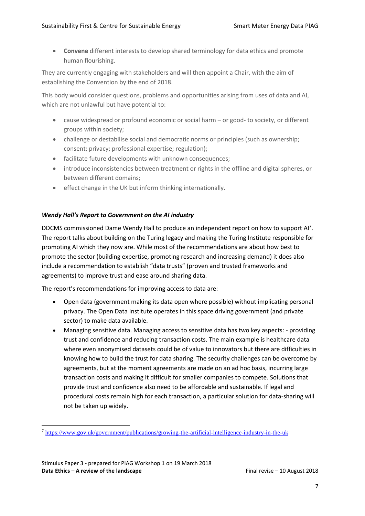• **Convene** different interests to develop shared terminology for data ethics and promote human flourishing.

They are currently engaging with stakeholders and will then appoint a Chair, with the aim of establishing the Convention by the end of 2018.

This body would consider questions, problems and opportunities arising from uses of data and AI, which are not unlawful but have potential to:

- cause widespread or profound economic or social harm or good- to society, or different groups within society;
- challenge or destabilise social and democratic norms or principles (such as ownership; consent; privacy; professional expertise; regulation);
- facilitate future developments with unknown consequences;
- introduce inconsistencies between treatment or rights in the offline and digital spheres, or between different domains;
- effect change in the UK but inform thinking internationally.

# *Wendy Hall's Report to Government on the AI industry*

DDCMS commissioned Dame Wendy Hall to produce an independent report on how to support Al<sup>7</sup>. The report talks about building on the Turing legacy and making the Turing Institute responsible for promoting AI which they now are. While most of the recommendations are about how best to promote the sector (building expertise, promoting research and increasing demand) it does also include a recommendation to establish "data trusts" (proven and trusted frameworks and agreements) to improve trust and ease around sharing data.

The report's recommendations for improving access to data are:

- Open data (government making its data open where possible) without implicating personal privacy. The Open Data Institute operates in this space driving government (and private sector) to make data available.
- Managing sensitive data. Managing access to sensitive data has two key aspects: providing trust and confidence and reducing transaction costs. The main example is healthcare data where even anonymised datasets could be of value to innovators but there are difficulties in knowing how to build the trust for data sharing. The security challenges can be overcome by agreements, but at the moment agreements are made on an ad hoc basis, incurring large transaction costs and making it difficult for smaller companies to compete. Solutions that provide trust and confidence also need to be affordable and sustainable. If legal and procedural costs remain high for each transaction, a particular solution for data-sharing will not be taken up widely.

<sup>7</sup> <https://www.gov.uk/government/publications/growing-the-artificial-intelligence-industry-in-the-uk>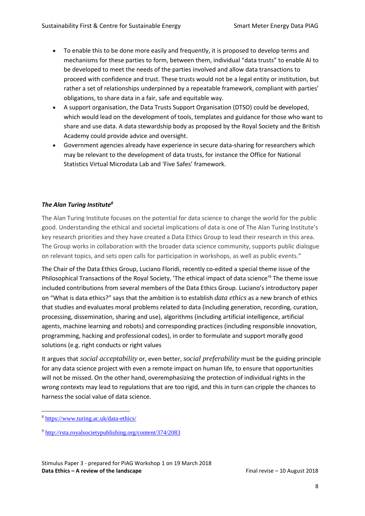- To enable this to be done more easily and frequently, it is proposed to develop terms and mechanisms for these parties to form, between them, individual "data trusts" to enable AI to be developed to meet the needs of the parties involved and allow data transactions to proceed with confidence and trust. These trusts would not be a legal entity or institution, but rather a set of relationships underpinned by a repeatable framework, compliant with parties' obligations, to share data in a fair, safe and equitable way.
- A support organisation, the Data Trusts Support Organisation (DTSO) could be developed, which would lead on the development of tools, templates and guidance for those who want to share and use data. A data stewardship body as proposed by the Royal Society and the British Academy could provide advice and oversight.
- Government agencies already have experience in secure data-sharing for researchers which may be relevant to the development of data trusts, for instance the Office for National Statistics Virtual Microdata Lab and 'Five Safes' framework.

# *The Alan Turing Institute<sup>8</sup>*

The Alan Turing Institute focuses on the potential for data science to change the world for the public good. Understanding the ethical and societal implications of data is one of The Alan Turing Institute's key research priorities and they have created a Data Ethics Group to lead their research in this area. The Group works in collaboration with the broader data science community, supports public dialogue on relevant topics, and sets open calls for participation in workshops, as well as public events."

The Chair of the Data Ethics Group, Luciano Floridi, recently co-edited a special theme issue of the Philosophical Transactions of the Royal Society, '[The ethical impact of data science](http://rsta.royalsocietypublishing.org/content/374/2083)'<sup>9</sup> The theme issue included contributions from several members of the Data Ethics Group. Luciano's introductory paper on "What is data ethics?" says that the ambition is to establish *data ethics* as a new branch of ethics that studies and evaluates moral problems related to data (including generation, recording, curation, processing, dissemination, sharing and use), algorithms (including artificial intelligence, artificial agents, machine learning and robots) and corresponding practices (including responsible innovation, programming, hacking and professional codes), in order to formulate and support morally good solutions (e.g. right conducts or right values

It argues that *social acceptability* or, even better, *social preferability* must be the guiding principle for any data science project with even a remote impact on human life, to ensure that opportunities will not be missed. On the other hand, overemphasizing the protection of individual rights in the wrong contexts may lead to regulations that are too rigid, and this in turn can cripple the chances to harness the social value of data science.

<sup>8</sup> <https://www.turing.ac.uk/data-ethics/>

<sup>9</sup> <http://rsta.royalsocietypublishing.org/content/374/2083>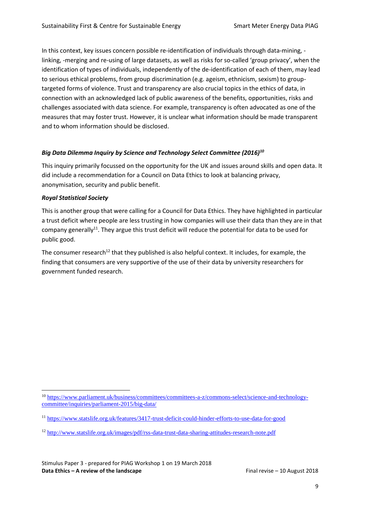In this context, key issues concern possible re-identification of individuals through data-mining, linking, -merging and re-using of large datasets, as well as risks for so-called 'group privacy', when the identification of types of individuals, independently of the de-identification of each of them, may lead to serious ethical problems, from group discrimination (e.g. ageism, ethnicism, sexism) to grouptargeted forms of violence. Trust and transparency are also crucial topics in the ethics of data, in connection with an acknowledged lack of public awareness of the benefits, opportunities, risks and challenges associated with data science. For example, transparency is often advocated as one of the measures that may foster trust. However, it is unclear what information should be made transparent and to whom information should be disclosed.

# *Big Data Dilemma Inquiry by Science and Technology Select Committee (2016)<sup>10</sup>*

This inquiry primarily focussed on the opportunity for the UK and issues around skills and open data. It did include a recommendation for a Council on Data Ethics to look at balancing privacy, anonymisation, security and public benefit.

#### *Royal Statistical Society*

This is another group that were calling for a Council for Data Ethics. They have highlighted in particular a trust deficit where people are less trusting in how companies will use their data than they are in that company generally<sup>11</sup>. They argue this trust deficit will reduce the potential for data to be used for public good.

The consumer research<sup>12</sup> that they published is also helpful context. It includes, for example, the finding that consumers are very supportive of the use of their data by university researchers for government funded research.

 $\overline{a}$ <sup>10</sup> [https://www.parliament.uk/business/committees/committees-a-z/commons-select/science-and-technology](https://www.parliament.uk/business/committees/committees-a-z/commons-select/science-and-technology-committee/inquiries/parliament-2015/big-data/)[committee/inquiries/parliament-2015/big-data/](https://www.parliament.uk/business/committees/committees-a-z/commons-select/science-and-technology-committee/inquiries/parliament-2015/big-data/)

<sup>11</sup> <https://www.statslife.org.uk/features/3417-trust-deficit-could-hinder-efforts-to-use-data-for-good>

<sup>12</sup> <http://www.statslife.org.uk/images/pdf/rss-data-trust-data-sharing-attitudes-research-note.pdf>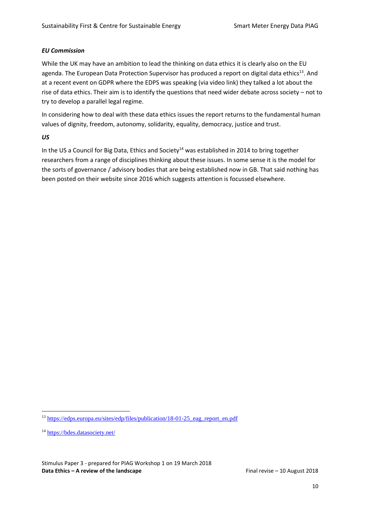#### *EU Commission*

While the UK may have an ambition to lead the thinking on data ethics it is clearly also on the EU agenda. The European Data Protection Supervisor has produced a report on digital data ethics<sup>13</sup>. And at a recent event on GDPR where the EDPS was speaking (via video link) they talked a lot about the rise of data ethics. Their aim is to identify the questions that need wider debate across society – not to try to develop a parallel legal regime.

In considering how to deal with these data ethics issues the report returns to the fundamental human values of dignity, freedom, autonomy, solidarity, equality, democracy, justice and trust.

# *US*

In the US a Council for Big Data, Ethics and Society<sup>14</sup> was established in 2014 to bring together researchers from a range of disciplines thinking about these issues. In some sense it is the model for the sorts of governance / advisory bodies that are being established now in GB. That said nothing has been posted on their website since 2016 which suggests attention is focussed elsewhere.

<sup>&</sup>lt;sup>13</sup> https://edps.europa.eu/sites/edp/files/publication/18-01-25 eag\_report\_en.pdf

<sup>14</sup> <https://bdes.datasociety.net/>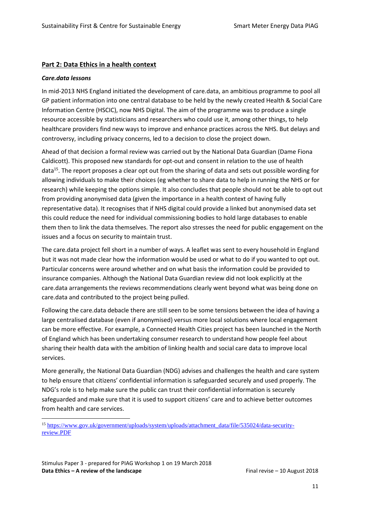#### **Part 2: Data Ethics in a health context**

#### *Care.data lessons*

 $\overline{a}$ 

In mid-2013 NHS England initiated the development of care.data, an ambitious programme to pool all GP patient information into one central database to be held by the newly created Health & Social Care Information Centre (HSCIC), now NHS Digital. The aim of the programme was to produce a single resource accessible by statisticians and researchers who could use it, among other things, to help healthcare providers find new ways to improve and enhance practices across the NHS. But delays and controversy, including privacy concerns, led to a decision to close the project down.

Ahead of that decision a formal review was carried out by the National Data Guardian (Dame Fiona Caldicott). This proposed new standards for opt-out and consent in relation to the use of health data<sup>15</sup>. The report proposes a clear opt out from the sharing of data and sets out possible wording for allowing individuals to make their choices (eg whether to share data to help in running the NHS or for research) while keeping the options simple. It also concludes that people should not be able to opt out from providing anonymised data (given the importance in a health context of having fully representative data). It recognises that if NHS digital could provide a linked but anonymised data set this could reduce the need for individual commissioning bodies to hold large databases to enable them then to link the data themselves. The report also stresses the need for public engagement on the issues and a focus on security to maintain trust.

The care.data project fell short in a number of ways. A leaflet was sent to every household in England but it was not made clear how the information would be used or what to do if you wanted to opt out. Particular concerns were around whether and on what basis the information could be provided to insurance companies. Although the National Data Guardian review did not look explicitly at the care.data arrangements the reviews recommendations clearly went beyond what was being done on care.data and contributed to the project being pulled.

Following the care.data debacle there are still seen to be some tensions between the idea of having a large centralised database (even if anonymised) versus more local solutions where local engagement can be more effective. For example, a Connected Health Cities project has been launched in the North of England which has been undertaking consumer research to understand how people feel about sharing their health data with the ambition of linking health and social care data to improve local services.

More generally, the National Data Guardian (NDG) advises and challenges the health and care system to help ensure that citizens' confidential information is safeguarded securely and used properly. The NDG's role is to help make sure the public can trust their confidential information is securely safeguarded and make sure that it is used to support citizens' care and to achieve better outcomes from health and care services.

Stimulus Paper 3 - prepared for PIAG Workshop 1 on 19 March 2018 **Data Ethics – A review of the landscape Final revise – 10 August 2018** 

<sup>15</sup> [https://www.gov.uk/government/uploads/system/uploads/attachment\\_data/file/535024/data-security](https://www.gov.uk/government/uploads/system/uploads/attachment_data/file/535024/data-security-review.PDF)[review.PDF](https://www.gov.uk/government/uploads/system/uploads/attachment_data/file/535024/data-security-review.PDF)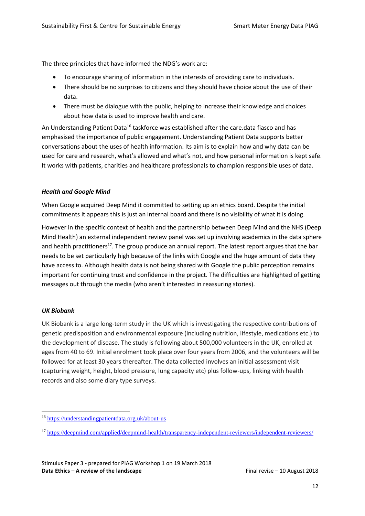The three principles that have informed the NDG's work are:

- To encourage sharing of information in the interests of providing care to individuals.
- There should be no surprises to citizens and they should have choice about the use of their data.
- There must be dialogue with the public, helping to increase their knowledge and choices about how data is used to improve health and care.

An Understanding Patient Data<sup>16</sup> taskforce was established after the care.data fiasco and has emphasised the importance of public engagement. Understanding Patient Data supports better conversations about the uses of health information. Its aim is to explain how and why data can be used for care and research, what's allowed and what's not, and how personal information is kept safe. It works with patients, charities and healthcare professionals to champion responsible uses of data.

# *Health and Google Mind*

When Google acquired Deep Mind it committed to setting up an ethics board. Despite the initial commitments it appears this is just an internal board and there is no visibility of what it is doing.

However in the specific context of health and the partnership between Deep Mind and the NHS (Deep Mind Health) an external independent review panel was set up involving academics in the data sphere and health practitioners<sup>17</sup>. The group produce an annual report. The latest report argues that the bar needs to be set particularly high because of the links with Google and the huge amount of data they have access to. Although health data is not being shared with Google the public perception remains important for continuing trust and confidence in the project. The difficulties are highlighted of getting messages out through the media (who aren't interested in reassuring stories).

#### *UK Biobank*

 $\overline{a}$ 

UK Biobank is a large long-term study in the UK which is investigating the respective contributions of genetic predisposition and environmental exposure (including nutrition, lifestyle, medications etc.) to the development of disease. The study is following about 500,000 volunteers in the UK, enrolled at ages from 40 to 69. Initial enrolment took place over four years from 2006, and the volunteers will be followed for at least 30 years thereafter. The data collected involves an initial assessment visit (capturing weight, height, blood pressure, lung capacity etc) plus follow-ups, linking with health records and also some diary type surveys.

<sup>16</sup> <https://understandingpatientdata.org.uk/about-us>

<sup>17</sup> <https://deepmind.com/applied/deepmind-health/transparency-independent-reviewers/independent-reviewers/>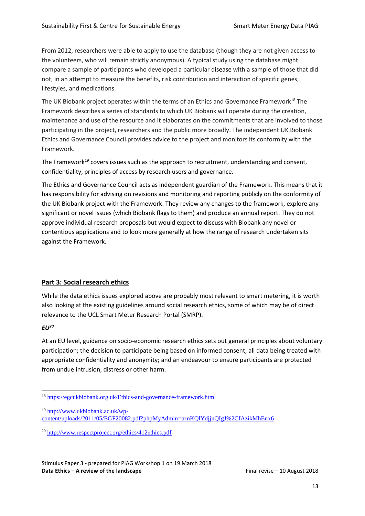From 2012, researchers were able to apply to use the database (though they are not given access to the volunteers, who will remain strictly anonymous). A typical study using the database might compare a sample of participants who developed a particular disease with a sample of those that did not, in an attempt to measure the benefits, risk contribution and interaction of specific genes, lifestyles, and medications.

The UK Biobank project operates within the terms of an Ethics and Governance Framework $^{18}$  The Framework describes a series of standards to which UK Biobank will operate during the creation, maintenance and use of the resource and it elaborates on the commitments that are involved to those participating in the project, researchers and the public more broadly. The independent UK Biobank Ethics and Governance Council provides advice to the project and monitors its conformity with the Framework.

The Framework<sup>19</sup> covers issues such as the approach to recruitment, understanding and consent, confidentiality, principles of access by research users and governance.

The Ethics and Governance Council acts as independent guardian of the Framework. This means that it has responsibility for advising on revisions and monitoring and reporting publicly on the conformity of the UK Biobank project with the Framework. They review any changes to the framework, explore any significant or novel issues (which Biobank flags to them) and produce an annual report. They do not approve individual research proposals but would expect to discuss with Biobank any novel or contentious applications and to look more generally at how the range of research undertaken sits against the Framework.

# **Part 3: Social research ethics**

While the data ethics issues explored above are probably most relevant to smart metering, it is worth also looking at the existing guidelines around social research ethics, some of which may be of direct relevance to the UCL Smart Meter Research Portal (SMRP).

#### *EU<sup>20</sup>*

At an EU level, guidance on socio-economic research ethics sets out general principles about voluntary participation; the decision to participate being based on informed consent; all data being treated with appropriate confidentiality and anonymity; and an endeavour to ensure participants are protected from undue intrusion, distress or other harm.

 $\overline{a}$ <sup>18</sup> <https://egcukbiobank.org.uk/Ethics-and-governance-framework.html>

<sup>19</sup> [http://www.ukbiobank.ac.uk/wp-](http://www.ukbiobank.ac.uk/wp-content/uploads/2011/05/EGF20082.pdf?phpMyAdmin=trmKQlYdjjnQIgJ%2CfAzikMhEnx6)

[content/uploads/2011/05/EGF20082.pdf?phpMyAdmin=trmKQlYdjjnQIgJ%2CfAzikMhEnx6](http://www.ukbiobank.ac.uk/wp-content/uploads/2011/05/EGF20082.pdf?phpMyAdmin=trmKQlYdjjnQIgJ%2CfAzikMhEnx6)

<sup>20</sup> <http://www.respectproject.org/ethics/412ethics.pdf>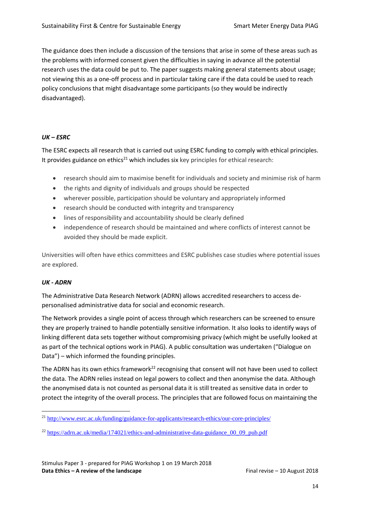The guidance does then include a discussion of the tensions that arise in some of these areas such as the problems with informed consent given the difficulties in saying in advance all the potential research uses the data could be put to. The paper suggests making general statements about usage; not viewing this as a one-off process and in particular taking care if the data could be used to reach policy conclusions that might disadvantage some participants (so they would be indirectly disadvantaged).

#### *UK – ESRC*

The ESRC expects all research that is carried out using ESRC funding to comply with ethical principles. It provides guidance on ethics<sup>21</sup> which includes six key principles for ethical research:

- research should aim to maximise benefit for individuals and society and minimise risk of harm
- the rights and dignity of individuals and groups should be respected
- wherever possible, participation should be voluntary and appropriately informed
- research should be conducted with integrity and transparency
- lines of responsibility and accountability should be clearly defined
- independence of research should be maintained and where conflicts of interest cannot be avoided they should be made explicit.

Universities will often have ethics committees and ESRC publishes case studies where potential issues are explored.

#### *UK - ADRN*

 $\overline{a}$ 

The Administrative Data Research Network (ADRN) allows accredited researchers to access depersonalised administrative data for social and economic research.

The Network provides a single point of access through which researchers can be screened to ensure they are properly trained to handle potentially sensitive information. It also looks to identify ways of linking different data sets together without compromising privacy (which might be usefully looked at as part of the technical options work in PIAG). A public consultation was undertaken ("Dialogue on Data") – which informed the founding principles.

The ADRN has its own ethics framework<sup>22</sup> recognising that consent will not have been used to collect the data. The ADRN relies instead on legal powers to collect and then anonymise the data. Although the anonymised data is not counted as personal data it is still treated as sensitive data in order to protect the integrity of the overall process. The principles that are followed focus on maintaining the

<sup>&</sup>lt;sup>21</sup> <http://www.esrc.ac.uk/funding/guidance-for-applicants/research-ethics/our-core-principles/>

<sup>&</sup>lt;sup>22</sup> [https://adrn.ac.uk/media/174021/ethics-and-administrative-data-guidance\\_00\\_09\\_pub.pdf](https://adrn.ac.uk/media/174021/ethics-and-administrative-data-guidance_00_09_pub.pdf)